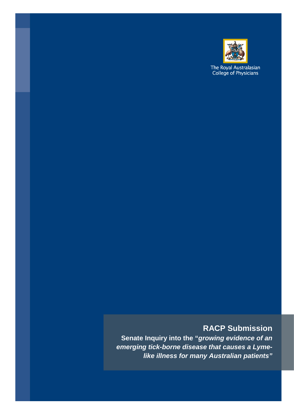

The Royal Australasian<br>College of Physicians

## **RACP Submission**

**Senate Inquiry into the "***growing evidence of an emerging tick-borne disease that causes a Lymelike illness for many Australian patients"*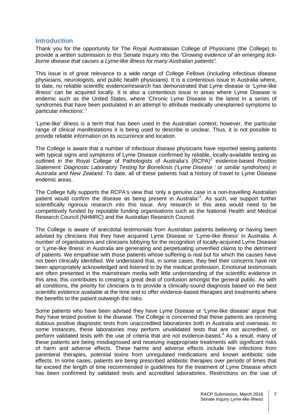## **Introduction**

Thank you for the opportunity for The Royal Australasian College of Physicians (the College) to provide a written submission to this Senate Inquiry into the *"Growing evidence of an emerging tickborne disease that causes a Lyme-like illness for many Australian patients".*

This issue is of great relevance to a wide range of College Fellows (including infectious disease physicians, neurologists, and public health physicians). It is a contentious issue in Australia where, to date, no reliable scientific evidence/research has demonstrated that Lyme disease or 'Lyme-like illness' can be acquired locally. It is also a contentious issue in areas where Lyme Disease is endemic such as the United States, where 'Chronic Lyme Disease is the latest in a series of syndromes that have been postulated in an attempt to attribute medically unexplained symptoms to particular infections'. [1](#page-2-0)

'Lyme-like' illness is a term that has been used in the Australian context; however, the particular range of clinical manifestations it is being used to describe is unclear. Thus, it is not possible to provide reliable information on its occurrence and location.

The College is aware that a number of infectious disease physicians have reported seeing patients with typical signs and symptoms of Lyme Disease confirmed by reliable, locally-available testing as outlined in the Royal College of Pathologists of Australia's (RCPA)<sup>[2](#page-2-1)</sup> evidence-based Position *Statement: Diagnostic Laboratory Testing for Borreliosis ('Lyme Disease ' or similar syndromes) in Australia and New Zealand.* To date, all of these patients had a history of travel to Lyme Disease endemic areas.

The College fully supports the RCPA's view that 'only a genuine case in a non-travelling Australian patient would confirm the disease as being present in Australia<sup>[3](#page-2-2)</sup>. As such, we support further scientifically rigorous research into this issue. Any research in this area would need to be competitively funded by reputable funding organisations such as the National Health and Medical Research Council (NHMRC) and the Australian Research Council.

The College is aware of anecdotal testimonials from Australian patients believing or having been advised by clinicians that they have acquired Lyme Disease or 'Lyme-like illness' in Australia. A number of organisations and clinicians lobbying for the recognition of locally-acquired Lyme Disease or 'Lyme-like illness' in Australia are generating and perpetuating unverified claims to the detriment of patients. We empathise with those patients whose suffering is real but for which the causes have not been clinically identified. We understand that, in some cases, they feel their concerns have not been appropriately acknowledged and listened to by the medical profession. Emotional testimonials are often presented in the mainstream media with little understanding of the scientific evidence in this area; this contributes to creating a great deal of confusion amongst the general public. As with all conditions, the priority for clinicians is to provide a clinically-sound diagnosis based on the best scientific evidence available at the time and to offer evidence-based therapies and treatments where the benefits to the patient outweigh the risks.

Some patients who have been advised they have Lyme Disease or 'Lyme-like disease' argue that they have tested positive to the disease. The College is concerned that these patients are receiving dubious positive diagnostic tests from unaccredited laboratories both in Australia and overseas. In some instances, these laboratories may perform unvalidated tests that are not accredited, or perform validated tests with the use of criteria that are not evidence-based.<sup>[4](#page-2-3)</sup> As a result, many of these patients are being misdiagnosed and receiving inappropriate treatments with significant risks of harm and adverse effects. These harms and adverse effects include line infections from parenteral therapies, potential toxins from unregulated medications and known antibiotic side effects. In some cases, patients are being prescribed antibiotic therapies over periods of times that far exceed the length of time recommended in guidelines for the treatment of Lyme Disease which has been confirmed by validated tests and accredited laboratories. Restrictions on the use of